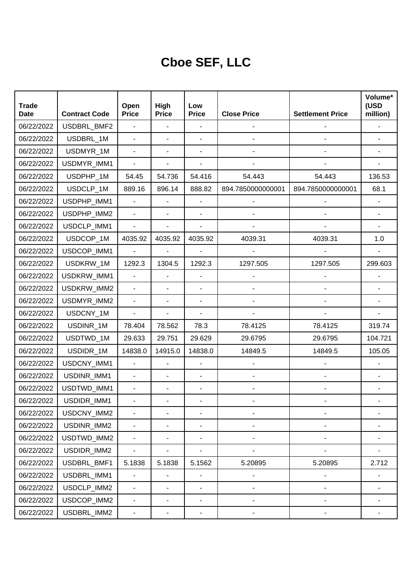## **Cboe SEF, LLC**

| <b>Trade</b>              |                                     | Open                           | High                           | Low                                      |                    |                         | Volume*<br>(USD            |
|---------------------------|-------------------------------------|--------------------------------|--------------------------------|------------------------------------------|--------------------|-------------------------|----------------------------|
| <b>Date</b><br>06/22/2022 | <b>Contract Code</b><br>USDBRL_BMF2 | <b>Price</b><br>$\overline{a}$ | <b>Price</b><br>$\blacksquare$ | <b>Price</b><br>$\overline{\phantom{a}}$ | <b>Close Price</b> | <b>Settlement Price</b> | million)<br>$\overline{a}$ |
| 06/22/2022                | USDBRL_1M                           | $\overline{a}$                 | ÷.                             | $\overline{\phantom{a}}$                 | $\blacksquare$     | $\blacksquare$          | $\overline{\phantom{0}}$   |
|                           | USDMYR_1M                           | $\overline{a}$                 | ÷,                             |                                          |                    |                         | $\blacksquare$             |
| 06/22/2022                |                                     |                                |                                | $\blacksquare$                           |                    |                         |                            |
| 06/22/2022                | USDMYR_IMM1                         | $\overline{a}$                 | ÷,                             | ÷,                                       |                    |                         | $\blacksquare$             |
| 06/22/2022                | USDPHP_1M                           | 54.45                          | 54.736                         | 54.416                                   | 54.443             | 54.443                  | 136.53                     |
| 06/22/2022                | USDCLP_1M                           | 889.16                         | 896.14                         | 888.82                                   | 894.7850000000001  | 894.7850000000001       | 68.1                       |
| 06/22/2022                | USDPHP_IMM1                         | $\overline{a}$                 |                                | $\blacksquare$                           |                    |                         | $\overline{\phantom{a}}$   |
| 06/22/2022                | USDPHP_IMM2                         | $\overline{a}$                 | $\overline{\phantom{0}}$       | $\overline{\phantom{a}}$                 |                    |                         | $\blacksquare$             |
| 06/22/2022                | USDCLP_IMM1                         | $\overline{a}$                 |                                |                                          |                    |                         | $\blacksquare$             |
| 06/22/2022                | USDCOP_1M                           | 4035.92                        | 4035.92                        | 4035.92                                  | 4039.31            | 4039.31                 | 1.0                        |
| 06/22/2022                | USDCOP_IMM1                         | $\overline{a}$                 | $\overline{a}$                 |                                          |                    |                         | $\overline{\phantom{a}}$   |
| 06/22/2022                | USDKRW_1M                           | 1292.3                         | 1304.5                         | 1292.3                                   | 1297.505           | 1297.505                | 299.603                    |
| 06/22/2022                | USDKRW_IMM1                         | $\overline{a}$                 | $\blacksquare$                 | ÷,                                       |                    |                         | ä,                         |
| 06/22/2022                | USDKRW_IMM2                         | $\overline{a}$                 | $\blacksquare$                 | $\overline{a}$                           |                    |                         | $\overline{\phantom{0}}$   |
| 06/22/2022                | USDMYR_IMM2                         | $\overline{a}$                 | ÷,                             | $\blacksquare$                           |                    |                         | $\blacksquare$             |
| 06/22/2022                | USDCNY_1M                           | $\overline{a}$                 | L.                             | $\overline{a}$                           |                    |                         | $\overline{a}$             |
| 06/22/2022                | USDINR_1M                           | 78.404                         | 78.562                         | 78.3                                     | 78.4125            | 78.4125                 | 319.74                     |
| 06/22/2022                | USDTWD_1M                           | 29.633                         | 29.751                         | 29.629                                   | 29.6795            | 29.6795                 | 104.721                    |
| 06/22/2022                | USDIDR_1M                           | 14838.0                        | 14915.0                        | 14838.0                                  | 14849.5            | 14849.5                 | 105.05                     |
| 06/22/2022                | USDCNY_IMM1                         | $\overline{a}$                 | $\overline{\phantom{a}}$       |                                          |                    |                         |                            |
| 06/22/2022                | USDINR_IMM1                         | $\overline{a}$                 |                                |                                          |                    |                         | $\overline{\phantom{a}}$   |
| 06/22/2022                | USDTWD_IMM1                         | $\overline{a}$                 |                                |                                          |                    |                         | $\overline{\phantom{a}}$   |
| 06/22/2022                | USDIDR_IMM1                         |                                |                                |                                          |                    |                         |                            |
| 06/22/2022                | USDCNY_IMM2                         | $\overline{a}$                 |                                |                                          |                    |                         |                            |
| 06/22/2022                | USDINR_IMM2                         | $\overline{a}$                 |                                |                                          |                    |                         |                            |
| 06/22/2022                | USDTWD_IMM2                         | $\blacksquare$                 |                                |                                          |                    |                         |                            |
| 06/22/2022                | USDIDR_IMM2                         | $\overline{a}$                 |                                |                                          |                    |                         |                            |
| 06/22/2022                | USDBRL_BMF1                         | 5.1838                         | 5.1838                         | 5.1562                                   | 5.20895            | 5.20895                 | 2.712                      |
| 06/22/2022                | USDBRL_IMM1                         |                                | $\overline{\phantom{0}}$       | $\qquad \qquad \blacksquare$             |                    |                         |                            |
| 06/22/2022                | USDCLP_IMM2                         | $\overline{a}$                 |                                | $\qquad \qquad \blacksquare$             | $\overline{a}$     |                         |                            |
| 06/22/2022                | USDCOP_IMM2                         | $\overline{a}$                 | $\overline{\phantom{0}}$       | $\qquad \qquad \blacksquare$             | $\overline{a}$     | $\overline{a}$          |                            |
| 06/22/2022                | USDBRL_IMM2                         | $\qquad \qquad \blacksquare$   | -                              | -                                        | ٠                  | -                       | ۰                          |